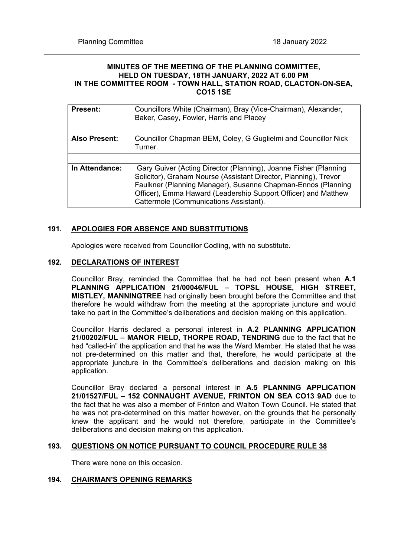#### **MINUTES OF THE MEETING OF THE PLANNING COMMITTEE, HELD ON TUESDAY, 18TH JANUARY, 2022 AT 6.00 PM IN THE COMMITTEE ROOM - TOWN HALL, STATION ROAD, CLACTON-ON-SEA, CO15 1SE**

| <b>Present:</b>      | Councillors White (Chairman), Bray (Vice-Chairman), Alexander,<br>Baker, Casey, Fowler, Harris and Placey                                                                                                                                                                                                        |
|----------------------|------------------------------------------------------------------------------------------------------------------------------------------------------------------------------------------------------------------------------------------------------------------------------------------------------------------|
| <b>Also Present:</b> | Councillor Chapman BEM, Coley, G Guglielmi and Councillor Nick<br>Turner.                                                                                                                                                                                                                                        |
|                      |                                                                                                                                                                                                                                                                                                                  |
| In Attendance:       | Gary Guiver (Acting Director (Planning), Joanne Fisher (Planning<br>Solicitor), Graham Nourse (Assistant Director, Planning), Trevor<br>Faulkner (Planning Manager), Susanne Chapman-Ennos (Planning<br>Officer), Emma Haward (Leadership Support Officer) and Matthew<br>Cattermole (Communications Assistant). |

## **191. APOLOGIES FOR ABSENCE AND SUBSTITUTIONS**

Apologies were received from Councillor Codling, with no substitute.

#### **192. DECLARATIONS OF INTEREST**

Councillor Bray, reminded the Committee that he had not been present when **A.1 PLANNING APPLICATION 21/00046/FUL – TOPSL HOUSE, HIGH STREET, MISTLEY, MANNINGTREE** had originally been brought before the Committee and that therefore he would withdraw from the meeting at the appropriate juncture and would take no part in the Committee's deliberations and decision making on this application.

Councillor Harris declared a personal interest in **A.2 PLANNING APPLICATION 21/00202/FUL – MANOR FIELD, THORPE ROAD, TENDRING** due to the fact that he had "called-in" the application and that he was the Ward Member. He stated that he was not pre-determined on this matter and that, therefore, he would participate at the appropriate juncture in the Committee's deliberations and decision making on this application.

Councillor Bray declared a personal interest in **A.5 PLANNING APPLICATION 21/01527/FUL – 152 CONNAUGHT AVENUE, FRINTON ON SEA CO13 9AD** due to the fact that he was also a member of Frinton and Walton Town Council. He stated that he was not pre-determined on this matter however, on the grounds that he personally knew the applicant and he would not therefore, participate in the Committee's deliberations and decision making on this application.

#### **193. QUESTIONS ON NOTICE PURSUANT TO COUNCIL PROCEDURE RULE 38**

There were none on this occasion.

#### **194. CHAIRMAN'S OPENING REMARKS**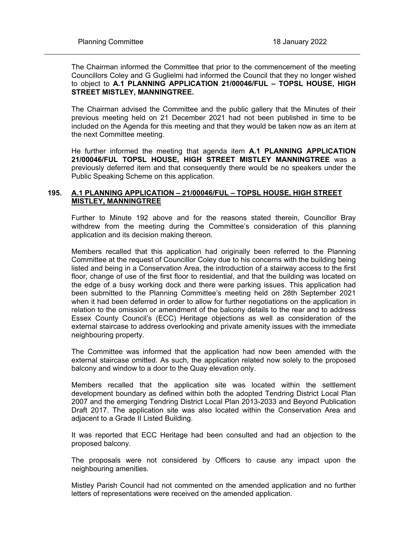The Chairman informed the Committee that prior to the commencement of the meeting Councillors Coley and G Guglielmi had informed the Council that they no longer wished to object to **A.1 PLANNING APPLICATION 21/00046/FUL – TOPSL HOUSE, HIGH STREET MISTLEY, MANNINGTREE.**

The Chairman advised the Committee and the public gallery that the Minutes of their previous meeting held on 21 December 2021 had not been published in time to be included on the Agenda for this meeting and that they would be taken now as an item at the next Committee meeting.

He further informed the meeting that agenda item **A.1 PLANNING APPLICATION 21/00046/FUL TOPSL HOUSE, HIGH STREET MISTLEY MANNINGTREE** was a previously deferred item and that consequently there would be no speakers under the Public Speaking Scheme on this application.

## **195. A.1 PLANNING APPLICATION – 21/00046/FUL – TOPSL HOUSE, HIGH STREET MISTLEY, MANNINGTREE**

Further to Minute 192 above and for the reasons stated therein, Councillor Bray withdrew from the meeting during the Committee's consideration of this planning application and its decision making thereon.

Members recalled that this application had originally been referred to the Planning Committee at the request of Councillor Coley due to his concerns with the building being listed and being in a Conservation Area, the introduction of a stairway access to the first floor, change of use of the first floor to residential, and that the building was located on the edge of a busy working dock and there were parking issues. This application had been submitted to the Planning Committee's meeting held on 28th September 2021 when it had been deferred in order to allow for further negotiations on the application in relation to the omission or amendment of the balcony details to the rear and to address Essex County Council's (ECC) Heritage objections as well as consideration of the external staircase to address overlooking and private amenity issues with the immediate neighbouring property.

The Committee was informed that the application had now been amended with the external staircase omitted. As such, the application related now solely to the proposed balcony and window to a door to the Quay elevation only.

Members recalled that the application site was located within the settlement development boundary as defined within both the adopted Tendring District Local Plan 2007 and the emerging Tendring District Local Plan 2013-2033 and Beyond Publication Draft 2017. The application site was also located within the Conservation Area and adjacent to a Grade II Listed Building.

It was reported that ECC Heritage had been consulted and had an objection to the proposed balcony.

The proposals were not considered by Officers to cause any impact upon the neighbouring amenities.

Mistley Parish Council had not commented on the amended application and no further letters of representations were received on the amended application.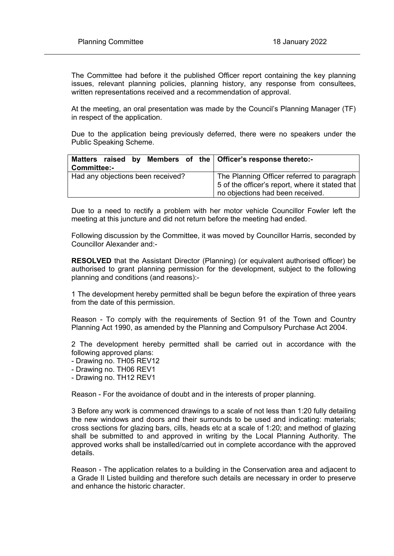The Committee had before it the published Officer report containing the key planning issues, relevant planning policies, planning history, any response from consultees, written representations received and a recommendation of approval.

At the meeting, an oral presentation was made by the Council's Planning Manager (TF) in respect of the application.

Due to the application being previously deferred, there were no speakers under the Public Speaking Scheme.

| Matters raised by Members of the Officer's response thereto:-<br>Committee:- |                                                                                                                                   |
|------------------------------------------------------------------------------|-----------------------------------------------------------------------------------------------------------------------------------|
| Had any objections been received?                                            | The Planning Officer referred to paragraph<br>5 of the officer's report, where it stated that<br>no objections had been received. |

Due to a need to rectify a problem with her motor vehicle Councillor Fowler left the meeting at this juncture and did not return before the meeting had ended.

Following discussion by the Committee, it was moved by Councillor Harris, seconded by Councillor Alexander and:-

**RESOLVED** that the Assistant Director (Planning) (or equivalent authorised officer) be authorised to grant planning permission for the development, subject to the following planning and conditions (and reasons):-

1 The development hereby permitted shall be begun before the expiration of three years from the date of this permission.

Reason - To comply with the requirements of Section 91 of the Town and Country Planning Act 1990, as amended by the Planning and Compulsory Purchase Act 2004.

2 The development hereby permitted shall be carried out in accordance with the following approved plans:

- Drawing no. TH05 REV12
- Drawing no. TH06 REV1
- Drawing no. TH12 REV1

Reason - For the avoidance of doubt and in the interests of proper planning.

3 Before any work is commenced drawings to a scale of not less than 1:20 fully detailing the new windows and doors and their surrounds to be used and indicating: materials; cross sections for glazing bars, cills, heads etc at a scale of 1:20; and method of glazing shall be submitted to and approved in writing by the Local Planning Authority. The approved works shall be installed/carried out in complete accordance with the approved details.

Reason - The application relates to a building in the Conservation area and adjacent to a Grade II Listed building and therefore such details are necessary in order to preserve and enhance the historic character.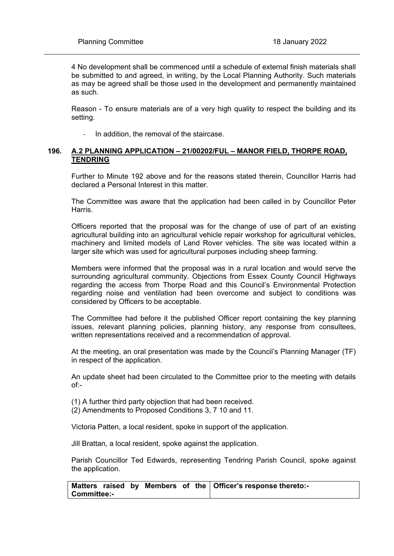4 No development shall be commenced until a schedule of external finish materials shall be submitted to and agreed, in writing, by the Local Planning Authority. Such materials as may be agreed shall be those used in the development and permanently maintained as such.

Reason - To ensure materials are of a very high quality to respect the building and its setting.

In addition, the removal of the staircase.

#### **196. A.2 PLANNING APPLICATION – 21/00202/FUL – MANOR FIELD, THORPE ROAD, TENDRING**

Further to Minute 192 above and for the reasons stated therein, Councillor Harris had declared a Personal Interest in this matter.

The Committee was aware that the application had been called in by Councillor Peter Harris.

Officers reported that the proposal was for the change of use of part of an existing agricultural building into an agricultural vehicle repair workshop for agricultural vehicles, machinery and limited models of Land Rover vehicles. The site was located within a larger site which was used for agricultural purposes including sheep farming.

Members were informed that the proposal was in a rural location and would serve the surrounding agricultural community. Objections from Essex County Council Highways regarding the access from Thorpe Road and this Council's Environmental Protection regarding noise and ventilation had been overcome and subject to conditions was considered by Officers to be acceptable.

The Committee had before it the published Officer report containing the key planning issues, relevant planning policies, planning history, any response from consultees, written representations received and a recommendation of approval.

At the meeting, an oral presentation was made by the Council's Planning Manager (TF) in respect of the application.

An update sheet had been circulated to the Committee prior to the meeting with details of:-

(1) A further third party objection that had been received.

(2) Amendments to Proposed Conditions 3, 7 10 and 11.

Victoria Patten, a local resident, spoke in support of the application.

Jill Brattan, a local resident, spoke against the application.

Parish Councillor Ted Edwards, representing Tendring Parish Council, spoke against the application.

**Matters raised by Members of the Committee:- Officer's response thereto:-**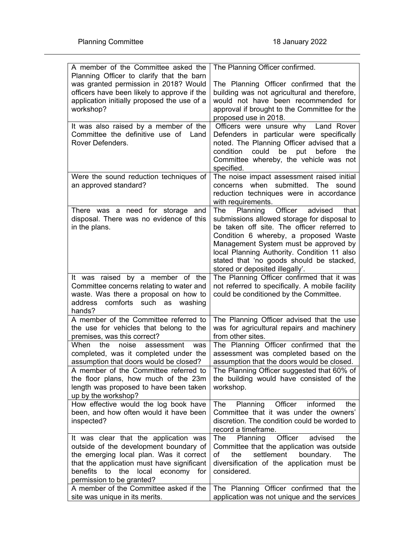| A member of the Committee asked the<br>Planning Officer to clarify that the barn                                                                                                                                                                                               | The Planning Officer confirmed.                                                                                                                                                                                                                                                                                                                            |
|--------------------------------------------------------------------------------------------------------------------------------------------------------------------------------------------------------------------------------------------------------------------------------|------------------------------------------------------------------------------------------------------------------------------------------------------------------------------------------------------------------------------------------------------------------------------------------------------------------------------------------------------------|
| was granted permission in 2018? Would<br>officers have been likely to approve if the<br>application initially proposed the use of a<br>workshop?                                                                                                                               | The Planning Officer confirmed that the<br>building was not agricultural and therefore,<br>would not have been recommended for<br>approval if brought to the Committee for the<br>proposed use in 2018.                                                                                                                                                    |
| It was also raised by a member of the<br>Committee the definitive use of<br>Land<br>Rover Defenders.                                                                                                                                                                           | Officers were unsure why Land Rover<br>Defenders in particular were specifically<br>noted. The Planning Officer advised that a<br>could be put<br>condition<br>before<br>the<br>Committee whereby, the vehicle was not<br>specified.                                                                                                                       |
| Were the sound reduction techniques of<br>an approved standard?                                                                                                                                                                                                                | The noise impact assessment raised initial<br>when submitted. The<br>concerns<br>sound<br>reduction techniques were in accordance<br>with requirements.                                                                                                                                                                                                    |
| There was a need for storage and<br>disposal. There was no evidence of this<br>in the plans.                                                                                                                                                                                   | Planning<br>Officer<br>The<br>advised<br>that<br>submissions allowed storage for disposal to<br>be taken off site. The officer referred to<br>Condition 6 whereby, a proposed Waste<br>Management System must be approved by<br>local Planning Authority. Condition 11 also<br>stated that 'no goods should be stacked,<br>stored or deposited illegally'. |
| It was raised by a member of the<br>Committee concerns relating to water and<br>waste. Was there a proposal on how to<br>comforts such as washing<br>address<br>hands?                                                                                                         | The Planning Officer confirmed that it was<br>not referred to specifically. A mobile facility<br>could be conditioned by the Committee.                                                                                                                                                                                                                    |
| A member of the Committee referred to<br>the use for vehicles that belong to the<br>premises, was this correct?                                                                                                                                                                | The Planning Officer advised that the use<br>was for agricultural repairs and machinery<br>from other sites.                                                                                                                                                                                                                                               |
| When<br>the<br>noise<br>assessment<br>was<br>completed, was it completed under the<br>assumption that doors would be closed?<br>A member of the Committee referred to<br>the floor plans, how much of the 23m<br>length was proposed to have been taken<br>up by the workshop? | The Planning Officer confirmed that the<br>assessment was completed based on the<br>assumption that the doors would be closed.<br>The Planning Officer suggested that 60% of<br>the building would have consisted of the<br>workshop.                                                                                                                      |
| How effective would the log book have<br>been, and how often would it have been<br>inspected?                                                                                                                                                                                  | Officer<br>Planning<br>informed<br>The<br>the<br>Committee that it was under the owners'<br>discretion. The condition could be worded to<br>record a timeframe.                                                                                                                                                                                            |
| It was clear that the application was<br>outside of the development boundary of<br>the emerging local plan. Was it correct<br>that the application must have significant<br>benefits<br>local economy for<br>to the<br>permission to be granted?                               | Officer<br>Planning<br>advised<br>the<br>The<br>Committee that the application was outside<br>settlement<br>boundary.<br>The<br>οf<br>the<br>diversification of the application must be<br>considered.                                                                                                                                                     |
| A member of the Committee asked if the<br>site was unique in its merits.                                                                                                                                                                                                       | The Planning Officer confirmed that the<br>application was not unique and the services                                                                                                                                                                                                                                                                     |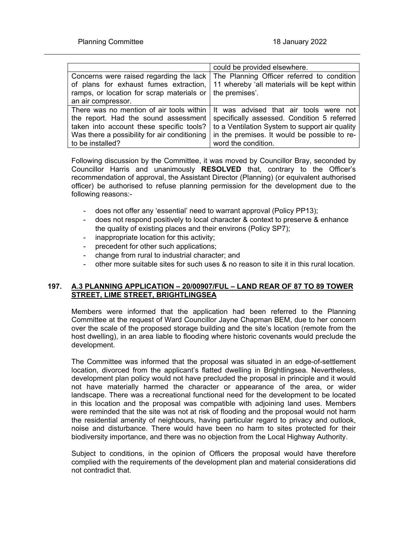|                                                                  | could be provided elsewhere.                                                       |
|------------------------------------------------------------------|------------------------------------------------------------------------------------|
|                                                                  | Concerns were raised regarding the lack The Planning Officer referred to condition |
| of plans for exhaust fumes extraction,                           | 11 whereby 'all materials will be kept within                                      |
| ramps, or location for scrap materials or $\vert$ the premises'. |                                                                                    |
| an air compressor.                                               |                                                                                    |
|                                                                  | There was no mention of air tools within   It was advised that air tools were not  |
| the report. Had the sound assessment                             | specifically assessed. Condition 5 referred                                        |
| taken into account these specific tools?                         | to a Ventilation System to support air quality                                     |
| Was there a possibility for air conditioning                     | in the premises. It would be possible to re-                                       |
| to be installed?                                                 | word the condition.                                                                |

Following discussion by the Committee, it was moved by Councillor Bray, seconded by Councillor Harris and unanimously **RESOLVED** that, contrary to the Officer's recommendation of approval, the Assistant Director (Planning) (or equivalent authorised officer) be authorised to refuse planning permission for the development due to the following reasons:-

- does not offer any 'essential' need to warrant approval (Policy PP13);
- does not respond positively to local character & context to preserve & enhance the quality of existing places and their environs (Policy SP7);
- inappropriate location for this activity;
- precedent for other such applications;
- change from rural to industrial character; and
- other more suitable sites for such uses & no reason to site it in this rural location.

## **197. A.3 PLANNING APPLICATION – 20/00907/FUL – LAND REAR OF 87 TO 89 TOWER STREET, LIME STREET, BRIGHTLINGSEA**

Members were informed that the application had been referred to the Planning Committee at the request of Ward Councillor Jayne Chapman BEM, due to her concern over the scale of the proposed storage building and the site's location (remote from the host dwelling), in an area liable to flooding where historic covenants would preclude the development.

The Committee was informed that the proposal was situated in an edge-of-settlement location, divorced from the applicant's flatted dwelling in Brightlingsea. Nevertheless, development plan policy would not have precluded the proposal in principle and it would not have materially harmed the character or appearance of the area, or wider landscape. There was a recreational functional need for the development to be located in this location and the proposal was compatible with adjoining land uses. Members were reminded that the site was not at risk of flooding and the proposal would not harm the residential amenity of neighbours, having particular regard to privacy and outlook, noise and disturbance. There would have been no harm to sites protected for their biodiversity importance, and there was no objection from the Local Highway Authority.

Subject to conditions, in the opinion of Officers the proposal would have therefore complied with the requirements of the development plan and material considerations did not contradict that.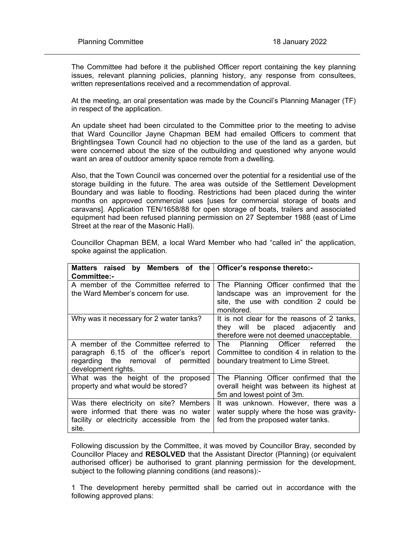The Committee had before it the published Officer report containing the key planning issues, relevant planning policies, planning history, any response from consultees, written representations received and a recommendation of approval.

At the meeting, an oral presentation was made by the Council's Planning Manager (TF) in respect of the application.

An update sheet had been circulated to the Committee prior to the meeting to advise that Ward Councillor Jayne Chapman BEM had emailed Officers to comment that Brightlingsea Town Council had no objection to the use of the land as a garden, but were concerned about the size of the outbuilding and questioned why anyone would want an area of outdoor amenity space remote from a dwelling.

Also, that the Town Council was concerned over the potential for a residential use of the storage building in the future. The area was outside of the Settlement Development Boundary and was liable to flooding. Restrictions had been placed during the winter months on approved commercial uses [uses for commercial storage of boats and caravans]. Application TEN/1658/88 for open storage of boats, trailers and associated equipment had been refused planning permission on 27 September 1988 (east of Lime Street at the rear of the Masonic Hall).

| Matters raised<br>Committee:-                                             | by Members of the Officer's response thereto:-                                                                                  |
|---------------------------------------------------------------------------|---------------------------------------------------------------------------------------------------------------------------------|
| A member of the Committee referred to                                     | The Planning Officer confirmed that the                                                                                         |
| the Ward Member's concern for use.                                        | landscape was an improvement for the<br>site, the use with condition 2 could be<br>monitored.                                   |
| Why was it necessary for 2 water tanks?                                   | It is not clear for the reasons of 2 tanks,<br>they will be placed adjacently<br>and<br>therefore were not deemed unacceptable. |
| A member of the Committee referred to                                     | Planning Officer referred<br>The<br>the                                                                                         |
| paragraph 6.15 of the officer's report                                    | Committee to condition 4 in relation to the                                                                                     |
| regarding the removal of permitted<br>development rights.                 | boundary treatment to Lime Street.                                                                                              |
| What was the height of the proposed<br>property and what would be stored? | The Planning Officer confirmed that the<br>overall height was between its highest at<br>5m and lowest point of 3m.              |
| Was there electricity on site? Members                                    | It was unknown. However, there was a                                                                                            |
| were informed that there was no water                                     | water supply where the hose was gravity-                                                                                        |
| facility or electricity accessible from the<br>site.                      | fed from the proposed water tanks.                                                                                              |

Councillor Chapman BEM, a local Ward Member who had "called in" the application, spoke against the application.

Following discussion by the Committee, it was moved by Councillor Bray, seconded by Councillor Placey and **RESOLVED** that the Assistant Director (Planning) (or equivalent authorised officer) be authorised to grant planning permission for the development, subject to the following planning conditions (and reasons):-

1 The development hereby permitted shall be carried out in accordance with the following approved plans: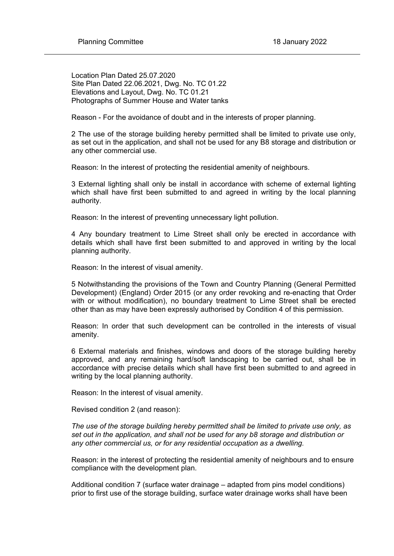Location Plan Dated 25.07.2020 Site Plan Dated 22.06.2021, Dwg. No. TC 01.22 Elevations and Layout, Dwg. No. TC 01.21 Photographs of Summer House and Water tanks

Reason - For the avoidance of doubt and in the interests of proper planning.

2 The use of the storage building hereby permitted shall be limited to private use only, as set out in the application, and shall not be used for any B8 storage and distribution or any other commercial use.

Reason: In the interest of protecting the residential amenity of neighbours.

3 External lighting shall only be install in accordance with scheme of external lighting which shall have first been submitted to and agreed in writing by the local planning authority.

Reason: In the interest of preventing unnecessary light pollution.

4 Any boundary treatment to Lime Street shall only be erected in accordance with details which shall have first been submitted to and approved in writing by the local planning authority.

Reason: In the interest of visual amenity.

5 Notwithstanding the provisions of the Town and Country Planning (General Permitted Development) (England) Order 2015 (or any order revoking and re-enacting that Order with or without modification), no boundary treatment to Lime Street shall be erected other than as may have been expressly authorised by Condition 4 of this permission.

Reason: In order that such development can be controlled in the interests of visual amenity.

6 External materials and finishes, windows and doors of the storage building hereby approved, and any remaining hard/soft landscaping to be carried out, shall be in accordance with precise details which shall have first been submitted to and agreed in writing by the local planning authority.

Reason: In the interest of visual amenity.

Revised condition 2 (and reason):

*The use of the storage building hereby permitted shall be limited to private use only, as set out in the application, and shall not be used for any b8 storage and distribution or any other commercial us, or for any residential occupation as a dwelling.*

Reason: in the interest of protecting the residential amenity of neighbours and to ensure compliance with the development plan.

Additional condition 7 (surface water drainage – adapted from pins model conditions) prior to first use of the storage building, surface water drainage works shall have been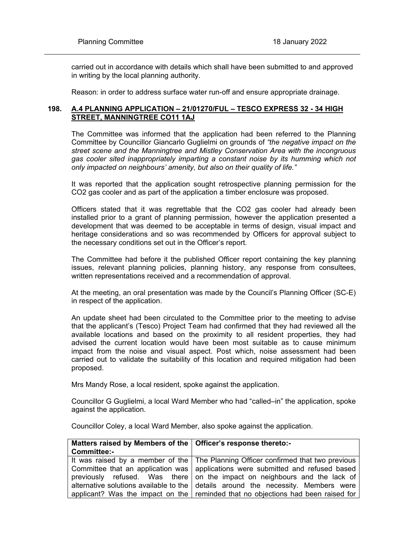carried out in accordance with details which shall have been submitted to and approved in writing by the local planning authority.

Reason: in order to address surface water run-off and ensure appropriate drainage.

#### **198. A.4 PLANNING APPLICATION – 21/01270/FUL – TESCO EXPRESS 32 - 34 HIGH STREET, MANNINGTREE CO11 1AJ**

The Committee was informed that the application had been referred to the Planning Committee by Councillor Giancarlo Guglielmi on grounds of *"the negative impact on the street scene and the Manningtree and Mistley Conservation Area with the incongruous gas cooler sited inappropriately imparting a constant noise by its humming which not only impacted on neighbours' amenity, but also on their quality of life."*

It was reported that the application sought retrospective planning permission for the CO2 gas cooler and as part of the application a timber enclosure was proposed.

Officers stated that it was regrettable that the CO2 gas cooler had already been installed prior to a grant of planning permission, however the application presented a development that was deemed to be acceptable in terms of design, visual impact and heritage considerations and so was recommended by Officers for approval subject to the necessary conditions set out in the Officer's report.

The Committee had before it the published Officer report containing the key planning issues, relevant planning policies, planning history, any response from consultees, written representations received and a recommendation of approval.

At the meeting, an oral presentation was made by the Council's Planning Officer (SC-E) in respect of the application.

An update sheet had been circulated to the Committee prior to the meeting to advise that the applicant's (Tesco) Project Team had confirmed that they had reviewed all the available locations and based on the proximity to all resident properties, they had advised the current location would have been most suitable as to cause minimum impact from the noise and visual aspect. Post which, noise assessment had been carried out to validate the suitability of this location and required mitigation had been proposed.

Mrs Mandy Rose, a local resident, spoke against the application.

Councillor G Guglielmi, a local Ward Member who had "called–in" the application, spoke against the application.

Councillor Coley, a local Ward Member, also spoke against the application.

| Matters raised by Members of the   Officer's response thereto:- |                                                                                           |
|-----------------------------------------------------------------|-------------------------------------------------------------------------------------------|
| <b>Committee:-</b>                                              |                                                                                           |
|                                                                 | It was raised by a member of the The Planning Officer confirmed that two previous         |
|                                                                 | Committee that an application was   applications were submitted and refused based         |
|                                                                 | previously refused. Was there on the impact on neighbours and the lack of                 |
|                                                                 | alternative solutions available to the $\vert$ details around the necessity. Members were |
|                                                                 | applicant? Was the impact on the reminded that no objections had been raised for          |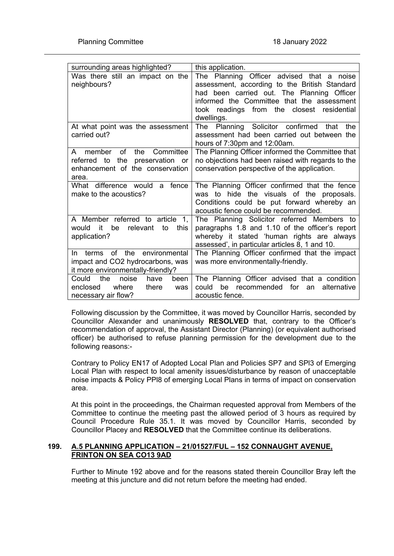| surrounding areas highlighted?                           | this application.                                                                             |
|----------------------------------------------------------|-----------------------------------------------------------------------------------------------|
| Was there still an impact on the                         | The Planning Officer advised that a noise                                                     |
| neighbours?                                              | assessment, according to the British Standard                                                 |
|                                                          | had been carried out. The Planning Officer                                                    |
|                                                          | informed the Committee that the assessment                                                    |
|                                                          | took readings from the closest residential                                                    |
|                                                          | dwellings.                                                                                    |
| At what point was the assessment                         | Planning Solicitor confirmed<br>The<br>the<br>that                                            |
| carried out?                                             | assessment had been carried out between the                                                   |
|                                                          | hours of 7:30pm and 12:00am.                                                                  |
| member<br>οf<br>the<br>Committee<br>A                    | The Planning Officer informed the Committee that                                              |
| referred to<br>the<br>preservation or                    | no objections had been raised with regards to the                                             |
| enhancement of the conservation                          | conservation perspective of the application.                                                  |
| area.                                                    |                                                                                               |
| What difference would<br>a fence                         | The Planning Officer confirmed that the fence                                                 |
| make to the acoustics?                                   | to hide the visuals of the proposals.<br>was                                                  |
|                                                          | Conditions could be put forward whereby an                                                    |
|                                                          | acoustic fence could be recommended.                                                          |
| A Member referred to article<br>1,<br>it                 | The Planning Solicitor referred Members to                                                    |
| be<br>relevant<br>this<br>would<br>to                    | paragraphs 1.8 and 1.10 of the officer's report<br>whereby it stated 'human rights are always |
| application?                                             |                                                                                               |
|                                                          |                                                                                               |
|                                                          | assessed', in particular articles 8, 1 and 10.                                                |
| <b>of</b><br>the<br>environmental<br>terms<br>In.        | The Planning Officer confirmed that the impact                                                |
| impact and CO2 hydrocarbons, was                         | was more environmentally-friendly.                                                            |
| it more environmentally-friendly?                        |                                                                                               |
| the<br>noise<br>Could<br>been<br>have                    | The Planning Officer advised that a condition                                                 |
| where<br>enclosed<br>there<br>was<br>necessary air flow? | for<br>could<br>be<br>recommended<br>alternative<br>an<br>acoustic fence.                     |

Following discussion by the Committee, it was moved by Councillor Harris, seconded by Councillor Alexander and unanimously **RESOLVED** that, contrary to the Officer's recommendation of approval, the Assistant Director (Planning) (or equivalent authorised officer) be authorised to refuse planning permission for the development due to the following reasons:-

Contrary to Policy EN17 of Adopted Local Plan and Policies SP7 and SPl3 of Emerging Local Plan with respect to local amenity issues/disturbance by reason of unacceptable noise impacts & Policy PPl8 of emerging Local Plans in terms of impact on conservation area.

At this point in the proceedings, the Chairman requested approval from Members of the Committee to continue the meeting past the allowed period of 3 hours as required by Council Procedure Rule 35.1. It was moved by Councillor Harris, seconded by Councillor Placey and **RESOLVED** that the Committee continue its deliberations.

## **199. A.5 PLANNING APPLICATION – 21/01527/FUL – 152 CONNAUGHT AVENUE, FRINTON ON SEA CO13 9AD**

Further to Minute 192 above and for the reasons stated therein Councillor Bray left the meeting at this juncture and did not return before the meeting had ended.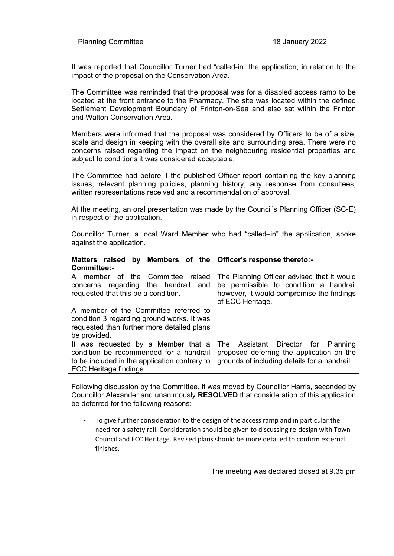It was reported that Councillor Turner had "called-in" the application, in relation to the impact of the proposal on the Conservation Area.

The Committee was reminded that the proposal was for a disabled access ramp to be located at the front entrance to the Pharmacy. The site was located within the defined Settlement Development Boundary of Frinton-on-Sea and also sat within the Frinton and Walton Conservation Area.

Members were informed that the proposal was considered by Officers to be of a size, scale and design in keeping with the overall site and surrounding area. There were no concerns raised regarding the impact on the neighbouring residential properties and subject to conditions it was considered acceptable.

The Committee had before it the published Officer report containing the key planning issues, relevant planning policies, planning history, any response from consultees, written representations received and a recommendation of approval.

At the meeting, an oral presentation was made by the Council's Planning Officer (SC-E) in respect of the application.

Councillor Turner, a local Ward Member who had "called–in" the application, spoke against the application.

| Matters raised<br>Committee:-                                                                                                                             | by Members of the Officer's response thereto:-                                                                                                        |
|-----------------------------------------------------------------------------------------------------------------------------------------------------------|-------------------------------------------------------------------------------------------------------------------------------------------------------|
| of the Committee<br>raised<br>A member<br>concerns regarding the handrail and<br>requested that this be a condition.                                      | The Planning Officer advised that it would<br>be permissible to condition a handrail<br>however, it would compromise the findings<br>of ECC Heritage. |
| A member of the Committee referred to<br>condition 3 regarding ground works. It was<br>requested than further more detailed plans<br>be provided.         |                                                                                                                                                       |
| It was requested by a Member that a<br>condition be recommended for a handrail<br>to be included in the application contrary to<br>ECC Heritage findings. | Assistant Director for Planning<br>The<br>proposed deferring the application on the<br>grounds of including details for a handrail.                   |

Following discussion by the Committee, it was moved by Councillor Harris, seconded by Councillor Alexander and unanimously **RESOLVED** that consideration of this application be deferred for the following reasons:

To give further consideration to the design of the access ramp and in particular the need for a safety rail. Consideration should be given to discussing re-design with Town Council and ECC Heritage. Revised plans should be more detailed to confirm external finishes.

The meeting was declared closed at 9.35 pm